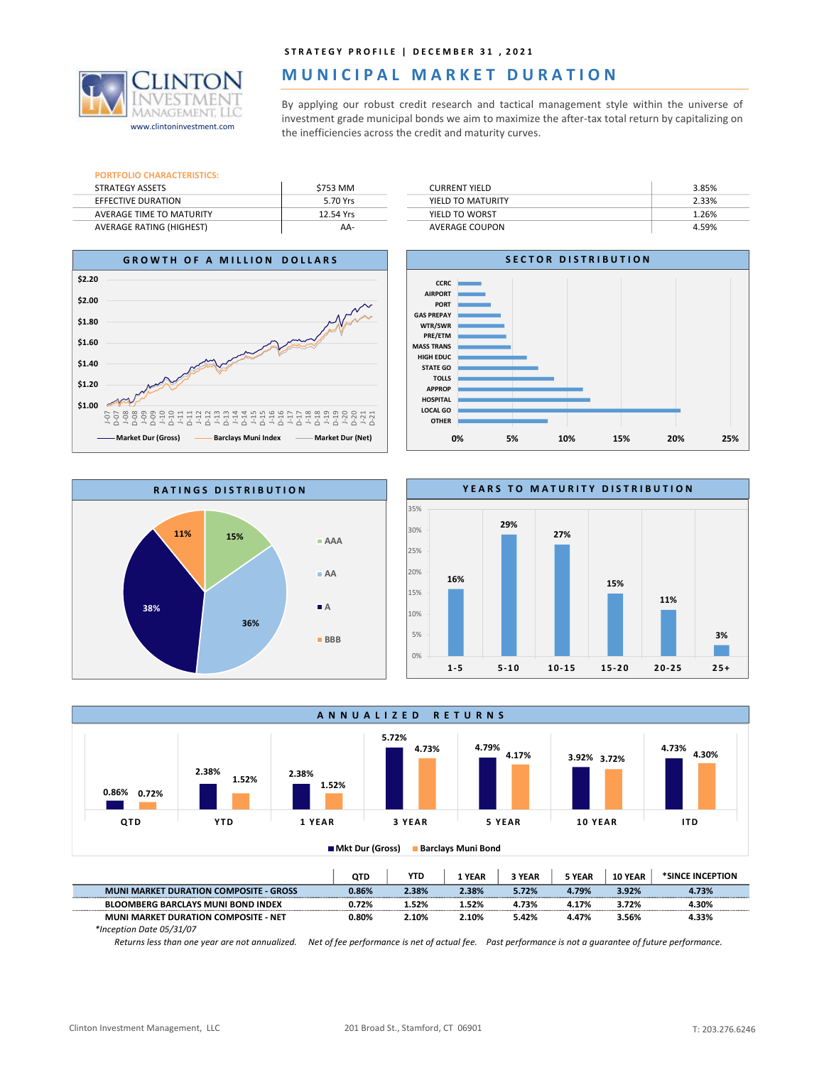

## MUNICIPAL MARKET DURATION

STRATEGY PROFILE | DECEMBER 31 , 2021<br> **MUNICIPAL MARKET DURATION**<br>
By applying our robust credit research and tactical management style within the universe of<br>
investment grade municipal bonds we aim to maximize the after STRATEGY PROFILE | DECEMBER 31 , 2021<br> **INVESTMENT DURATION**<br>
By applying our robust credit research and tactical management style within the universe of<br>
investment grade municipal bonds we aim to maximize the after-tax t STRATEGY PROFILE | DECEMBER 31 , 2021<br>
MUNICIPAL MARKET DURATION<br>
By applying our robust credit research and tactical management style within the universe of<br>
nvestment grade municipal bonds we aim to maximize the after-ta www.clintoninvestment.com investment grade municipal bonds we aim to maximize the after-tax total return by capitalizing on www.clintoninvestment.com the inefficiencies across the credit and maturity curves.

| <b>PORTFOLIO CHARACTERISTICS:</b> |           |
|-----------------------------------|-----------|
| <b>STRATEGY ASSETS</b>            | \$753 MM  |
| EFFECTIVE DURATION                | 5.70 Yrs  |
| AVERAGE TIME TO MATURITY          | 12.54 Yrs |
| <b>AVERAGE RATING (HIGHEST)</b>   | AA-       |

|           | STRATEGY PROFILE   DECEMBER 31, 2021                                                              |       |
|-----------|---------------------------------------------------------------------------------------------------|-------|
|           | MUNICIPAL MARKET DURATION                                                                         |       |
|           |                                                                                                   |       |
|           | By applying our robust credit research and tactical management style within the universe of       |       |
|           | investment grade municipal bonds we aim to maximize the after-tax total return by capitalizing on |       |
|           | the inefficiencies across the credit and maturity curves.                                         |       |
|           |                                                                                                   |       |
|           |                                                                                                   |       |
| \$753 MM  | <b>CURRENT YIELD</b>                                                                              | 3.85% |
| 5.70 Yrs  | YIELD TO MATURITY                                                                                 | 2.33% |
| 12.54 Yrs | YIELD TO WORST                                                                                    | 1.26% |











\*Inception Date 05/31/07

Returns less than one year are not annualized. Net of fee performance is net of actual fee. Past performance is not a guarantee of future performance.